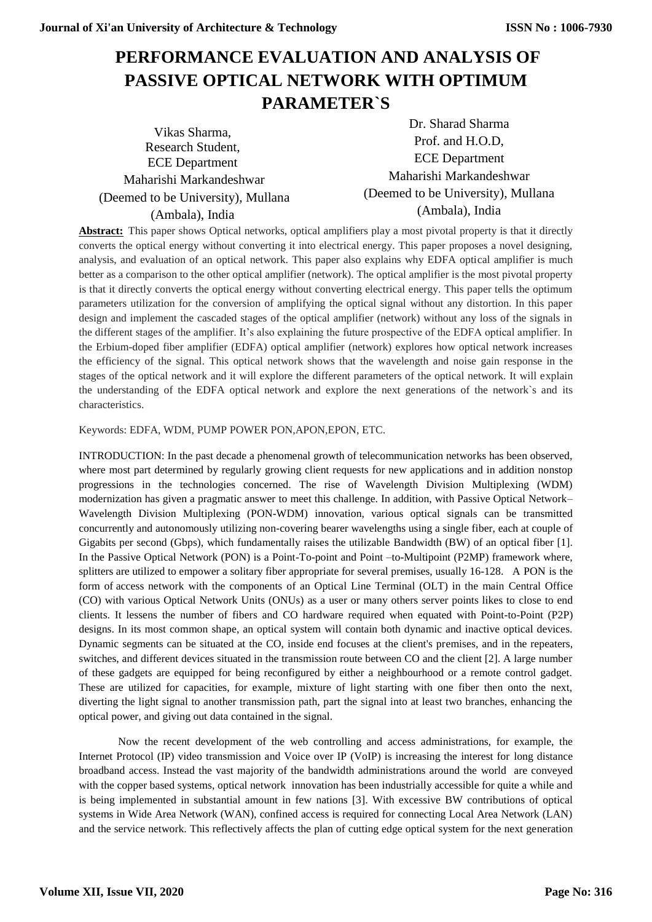# **PERFORMANCE EVALUATION AND ANALYSIS OF PASSIVE OPTICAL NETWORK WITH OPTIMUM PARAMETER`S**

Vikas Sharma, Research Student, ECE Department Maharishi Markandeshwar (Deemed to be University), Mullana (Ambala), India

Dr. Sharad Sharma Prof. and H.O.D, ECE Department Maharishi Markandeshwar (Deemed to be University), Mullana (Ambala), India

**Abstract:** This paper shows Optical networks, optical amplifiers play a most pivotal property is that it directly converts the optical energy without converting it into electrical energy. This paper proposes a novel designing, analysis, and evaluation of an optical network. This paper also explains why EDFA optical amplifier is much better as a comparison to the other optical amplifier (network). The optical amplifier is the most pivotal property is that it directly converts the optical energy without converting electrical energy. This paper tells the optimum parameters utilization for the conversion of amplifying the optical signal without any distortion. In this paper design and implement the cascaded stages of the optical amplifier (network) without any loss of the signals in the different stages of the amplifier. It's also explaining the future prospective of the EDFA optical amplifier. In the Erbium-doped fiber amplifier (EDFA) optical amplifier (network) explores how optical network increases the efficiency of the signal. This optical network shows that the wavelength and noise gain response in the stages of the optical network and it will explore the different parameters of the optical network. It will explain the understanding of the EDFA optical network and explore the next generations of the network`s and its characteristics.

Keywords: EDFA, WDM, PUMP POWER PON,APON,EPON, ETC.

INTRODUCTION: In the past decade a phenomenal growth of telecommunication networks has been observed, where most part determined by regularly growing client requests for new applications and in addition nonstop progressions in the technologies concerned. The rise of Wavelength Division Multiplexing (WDM) modernization has given a pragmatic answer to meet this challenge. In addition, with Passive Optical Network– Wavelength Division Multiplexing (PON-WDM) innovation, various optical signals can be transmitted concurrently and autonomously utilizing non-covering bearer wavelengths using a single fiber, each at couple of Gigabits per second (Gbps), which fundamentally raises the utilizable Bandwidth (BW) of an optical fiber [1]. In the Passive Optical Network (PON) is a Point-To-point and Point –to-Multipoint (P2MP) framework where, splitters are utilized to empower a solitary fiber appropriate for several premises, usually 16-128. A PON is the form of access network with the components of an Optical Line Terminal (OLT) in the main Central Office (CO) with various Optical Network Units (ONUs) as a user or many others server points likes to close to end clients. It lessens the number of fibers and CO hardware required when equated with Point-to-Point (P2P) designs. In its most common shape, an optical system will contain both dynamic and inactive optical devices. Dynamic segments can be situated at the CO, inside end focuses at the client's premises, and in the repeaters, switches, and different devices situated in the transmission route between CO and the client [2]. A large number of these gadgets are equipped for being reconfigured by either a neighbourhood or a remote control gadget. These are utilized for capacities, for example, mixture of light starting with one fiber then onto the next, diverting the light signal to another transmission path, part the signal into at least two branches, enhancing the optical power, and giving out data contained in the signal.

Now the recent development of the web controlling and access administrations, for example, the Internet Protocol (IP) video transmission and Voice over IP (VoIP) is increasing the interest for long distance broadband access. Instead the vast majority of the bandwidth administrations around the world are conveyed with the copper based systems, optical network innovation has been industrially accessible for quite a while and is being implemented in substantial amount in few nations [3]. With excessive BW contributions of optical systems in Wide Area Network (WAN), confined access is required for connecting Local Area Network (LAN) and the service network. This reflectively affects the plan of cutting edge optical system for the next generation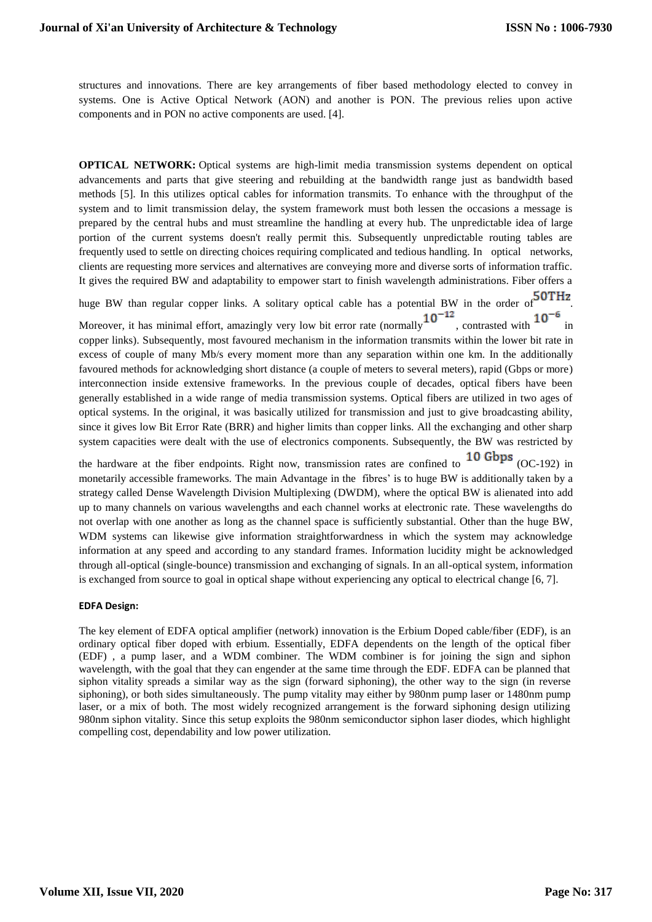structures and innovations. There are key arrangements of fiber based methodology elected to convey in systems. One is Active Optical Network (AON) and another is PON. The previous relies upon active components and in PON no active components are used. [4].

**OPTICAL NETWORK:** Optical systems are high-limit media transmission systems dependent on optical advancements and parts that give steering and rebuilding at the bandwidth range just as bandwidth based methods [5]. In this utilizes optical cables for information transmits. To enhance with the throughput of the system and to limit transmission delay, the system framework must both lessen the occasions a message is prepared by the central hubs and must streamline the handling at every hub. The unpredictable idea of large portion of the current systems doesn't really permit this. Subsequently unpredictable routing tables are frequently used to settle on directing choices requiring complicated and tedious handling. In optical networks, clients are requesting more services and alternatives are conveying more and diverse sorts of information traffic. It gives the required BW and adaptability to empower start to finish wavelength administrations. Fiber offers a

huge BW than regular copper links. A solitary optical cable has a potential BW in the order of  $50THz$ .

Moreover, it has minimal effort, amazingly very low bit error rate (normally  $10^{-12}$ , contrasted with  $10^{-12}$ copper links). Subsequently, most favoured mechanism in the information transmits within the lower bit rate in excess of couple of many Mb/s every moment more than any separation within one km. In the additionally favoured methods for acknowledging short distance (a couple of meters to several meters), rapid (Gbps or more) interconnection inside extensive frameworks. In the previous couple of decades, optical fibers have been generally established in a wide range of media transmission systems. Optical fibers are utilized in two ages of optical systems. In the original, it was basically utilized for transmission and just to give broadcasting ability, since it gives low Bit Error Rate (BRR) and higher limits than copper links. All the exchanging and other sharp system capacities were dealt with the use of electronics components. Subsequently, the BW was restricted by

the hardware at the fiber endpoints. Right now, transmission rates are confined to  $10$  Gbps (OC-192) in monetarily accessible frameworks. The main Advantage in the fibres' is to huge BW is additionally taken by a strategy called Dense Wavelength Division Multiplexing (DWDM), where the optical BW is alienated into add up to many channels on various wavelengths and each channel works at electronic rate. These wavelengths do not overlap with one another as long as the channel space is sufficiently substantial. Other than the huge BW, WDM systems can likewise give information straightforwardness in which the system may acknowledge information at any speed and according to any standard frames. Information lucidity might be acknowledged through all-optical (single-bounce) transmission and exchanging of signals. In an all-optical system, information is exchanged from source to goal in optical shape without experiencing any optical to electrical change [6, 7].

#### **EDFA Design:**

The key element of EDFA optical amplifier (network) innovation is the Erbium Doped cable/fiber (EDF), is an ordinary optical fiber doped with erbium. Essentially, EDFA dependents on the length of the optical fiber (EDF) , a pump laser, and a WDM combiner. The WDM combiner is for joining the sign and siphon wavelength, with the goal that they can engender at the same time through the EDF. EDFA can be planned that siphon vitality spreads a similar way as the sign (forward siphoning), the other way to the sign (in reverse siphoning), or both sides simultaneously. The pump vitality may either by 980nm pump laser or 1480nm pump laser, or a mix of both. The most widely recognized arrangement is the forward siphoning design utilizing 980nm siphon vitality. Since this setup exploits the 980nm semiconductor siphon laser diodes, which highlight compelling cost, dependability and low power utilization.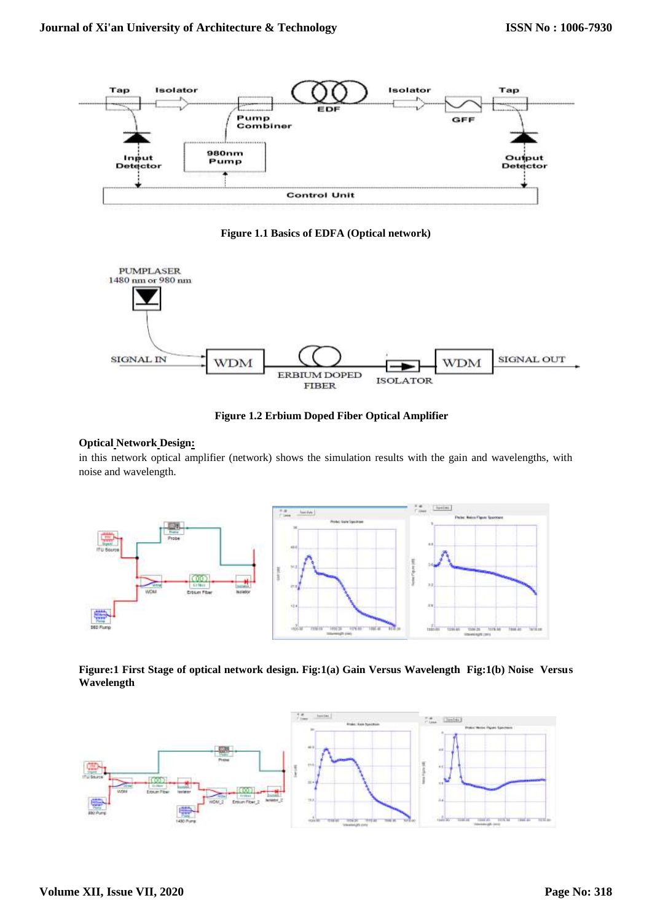

**Figure 1.1 Basics of EDFA (Optical network)**



**Figure 1.2 Erbium Doped Fiber Optical Amplifier**

## **Optical Network Design:**

in this network optical amplifier (network) shows the simulation results with the gain and wavelengths, with noise and wavelength.



**Figure:1 First Stage of optical network design. Fig:1(a) Gain Versus Wavelength Fig:1(b) Noise Versus Wavelength**

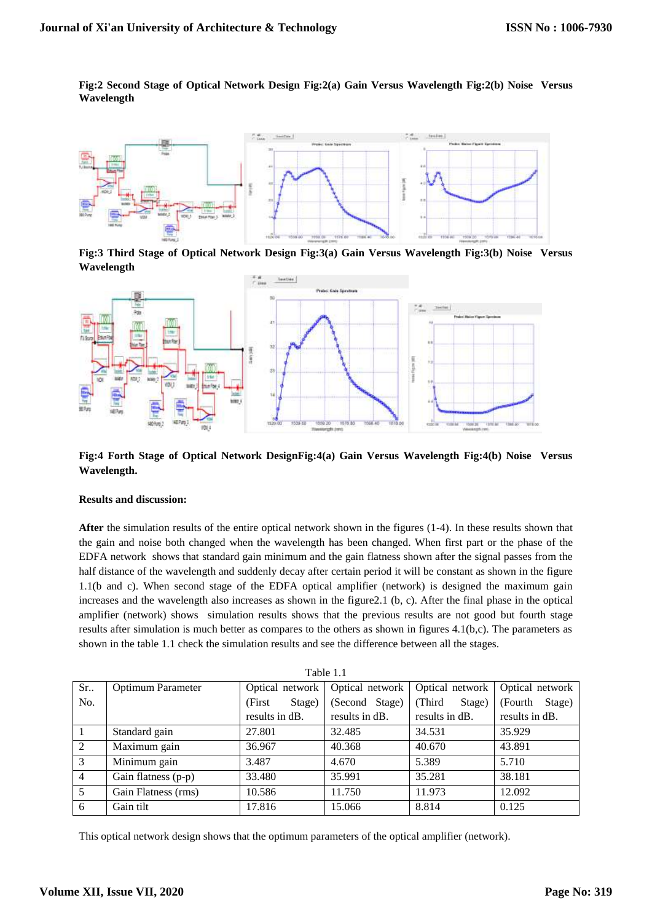**Fig:2 Second Stage of Optical Network Design Fig:2(a) Gain Versus Wavelength Fig:2(b) Noise Versus Wavelength**



**Fig:3 Third Stage of Optical Network Design Fig:3(a) Gain Versus Wavelength Fig:3(b) Noise Versus Wavelength**



**Fig:4 Forth Stage of Optical Network DesignFig:4(a) Gain Versus Wavelength Fig:4(b) Noise Versus Wavelength.**

#### **Results and discussion:**

**After** the simulation results of the entire optical network shown in the figures (1-4). In these results shown that the gain and noise both changed when the wavelength has been changed. When first part or the phase of the EDFA network shows that standard gain minimum and the gain flatness shown after the signal passes from the half distance of the wavelength and suddenly decay after certain period it will be constant as shown in the figure 1.1(b and c). When second stage of the EDFA optical amplifier (network) is designed the maximum gain increases and the wavelength also increases as shown in the figure2.1 (b, c). After the final phase in the optical amplifier (network) shows simulation results shows that the previous results are not good but fourth stage results after simulation is much better as compares to the others as shown in figures 4.1(b,c). The parameters as shown in the table 1.1 check the simulation results and see the difference between all the stages.

| Table 1.1      |                          |                   |                 |                  |                    |  |  |  |
|----------------|--------------------------|-------------------|-----------------|------------------|--------------------|--|--|--|
| Sr.            | <b>Optimum Parameter</b> | Optical network   | Optical network | Optical network  | Optical network    |  |  |  |
| No.            |                          | (First)<br>Stage) | (Second Stage)  | (Third<br>Stage) | Stage)<br>(Fourth) |  |  |  |
|                |                          | results in dB.    | results in dB.  | results in dB.   | results in dB.     |  |  |  |
|                | Standard gain            | 27.801            | 32.485          | 34.531           | 35.929             |  |  |  |
| 2              | Maximum gain             | 36.967            | 40.368          | 40.670           | 43.891             |  |  |  |
| 3              | Minimum gain             | 3.487             | 4.670           | 5.389            | 5.710              |  |  |  |
| $\overline{4}$ | Gain flatness (p-p)      | 33.480            | 35.991          | 35.281           | 38.181             |  |  |  |
| 5              | Gain Flatness (rms)      | 10.586            | 11.750          | 11.973           | 12.092             |  |  |  |
| 6              | Gain tilt                | 17.816            | 15.066          | 8.814            | 0.125              |  |  |  |

 $\overline{a}$  1.1

This optical network design shows that the optimum parameters of the optical amplifier (network).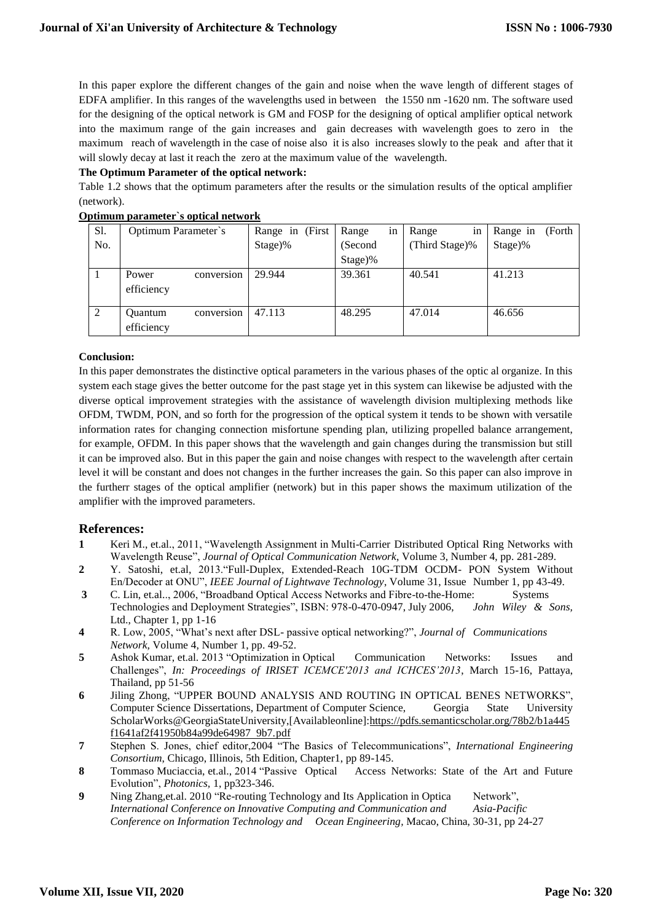In this paper explore the different changes of the gain and noise when the wave length of different stages of EDFA amplifier. In this ranges of the wavelengths used in between the 1550 nm -1620 nm. The software used for the designing of the optical network is GM and FOSP for the designing of optical amplifier optical network into the maximum range of the gain increases and gain decreases with wavelength goes to zero in the maximum reach of wavelength in the case of noise also it is also increases slowly to the peak and after that it will slowly decay at last it reach the zero at the maximum value of the wavelength.

#### **The Optimum Parameter of the optical network:**

Table 1.2 shows that the optimum parameters after the results or the simulation results of the optical amplifier (network).

| S1. | Optimum Parameter's                        | Range in (First | in<br>Range | Range<br>in    | Range in<br>(Forth |
|-----|--------------------------------------------|-----------------|-------------|----------------|--------------------|
| No. |                                            | $Stage)$ %      | (Second)    | (Third Stage)% | $Stage)$ %         |
|     |                                            |                 | $Stage)$ %  |                |                    |
|     | Power<br>conversion<br>efficiency          | 29.944          | 39.361      | 40.541         | 41.213             |
| 2   | <b>Ouantum</b><br>conversion<br>efficiency | 47.113          | 48.295      | 47.014         | 46.656             |

#### **Optimum parameter`s optical network**

#### **Conclusion:**

In this paper demonstrates the distinctive optical parameters in the various phases of the optic al organize. In this system each stage gives the better outcome for the past stage yet in this system can likewise be adjusted with the diverse optical improvement strategies with the assistance of wavelength division multiplexing methods like OFDM, TWDM, PON, and so forth for the progression of the optical system it tends to be shown with versatile information rates for changing connection misfortune spending plan, utilizing propelled balance arrangement, for example, OFDM. In this paper shows that the wavelength and gain changes during the transmission but still it can be improved also. But in this paper the gain and noise changes with respect to the wavelength after certain level it will be constant and does not changes in the further increases the gain. So this paper can also improve in the furtherr stages of the optical amplifier (network) but in this paper shows the maximum utilization of the amplifier with the improved parameters.

### **References:**

- **1** Keri M., et.al., 2011, "Wavelength Assignment in Multi-Carrier Distributed Optical Ring Networks with Wavelength Reuse", *Journal of Optical Communication Network*, Volume 3, Number 4, pp. 281-289.
- **2** Y. Satoshi, et.al, 2013."Full-Duplex, Extended-Reach 10G-TDM OCDM- PON System Without En/Decoder at ONU", *IEEE Journal of Lightwave Technology*, Volume 31, Issue Number 1, pp 43-49.
- **3** C. Lin, et.al.., 2006, "Broadband Optical Access Networks and Fibre-to-the-Home: Systems Technologies and Deployment Strategies", ISBN: 978-0-470-0947, July 2006, *John Wiley & Sons,* Ltd., Chapter 1, pp 1-16
- **4** R. Low, 2005, "What's next after DSL- passive optical networking?", *Journal of Communications Network,* Volume 4, Number 1, pp. 49-52.
- **5** Ashok Kumar, et.al. 2013 "Optimization in Optical Communication Networks: Issues and Challenges", *In: Proceedings of IRISET ICEMCE'2013 and ICHCES'2013*, March 15-16, Pattaya, Thailand, pp 51-56
- **6** [Jiling Zhong,](https://www.researchgate.net/scientific-contributions/2022660512_JILING_ZHONG?_sg=wpkYwyCpXmKEF6RNsYjKNk9_8x5nRs3F7rqRsan6k_y9YJt_HN2krDMCpnqI8sKApWfCDj0.O6CK58SDG_vvLGk1ZlSjI1DRjTxLrH2v-ByEr-7oVsQAHoVCWSGfHrnwFQaLNtA-8y7Y22LLfB0mcz5bC2suFQ) "UPPER BOUND ANALYSIS AND ROUTING IN OPTICAL BENES NETWORKS", Computer Science Dissertations, Department of Computer Science, Georgia State University ScholarWorks@GeorgiaStateUniversity,[Availableonline][:https://pdfs.semanticscholar.org/78b2/b1a445](https://pdfs.semanticscholar.org/78b2/b1a445f1641af2f41950b84a99de64987%20%209b7.pdf) [f1641af2f41950b84a99de64987 9b7.pdf](https://pdfs.semanticscholar.org/78b2/b1a445f1641af2f41950b84a99de64987%20%209b7.pdf)
- **7** Stephen S. Jones, chief editor,2004 "The Basics of Telecommunications", *International Engineering Consortium*, Chicago, Illinois, 5th Edition, Chapter1, pp 89-145.
- **8** Tommaso Muciaccia, et.al., 2014 "Passive Optical Access Networks: State of the Art and Future Evolution", *Photonics,* 1, pp323-346.
- **9** Ning Zhang,et.al. 2010 "Re-routing Technology and Its Application in Optica Network", *[International Conference on Innovative Computing and Communication and Asia-Pacific](https://ieeexplore.ieee.org/xpl/mostRecentIssue.jsp?punumber=5439158)  [Conference on Information Technology and Ocean Engineering,](https://ieeexplore.ieee.org/xpl/mostRecentIssue.jsp?punumber=5439158)* Macao, China, 30-31, pp 24-27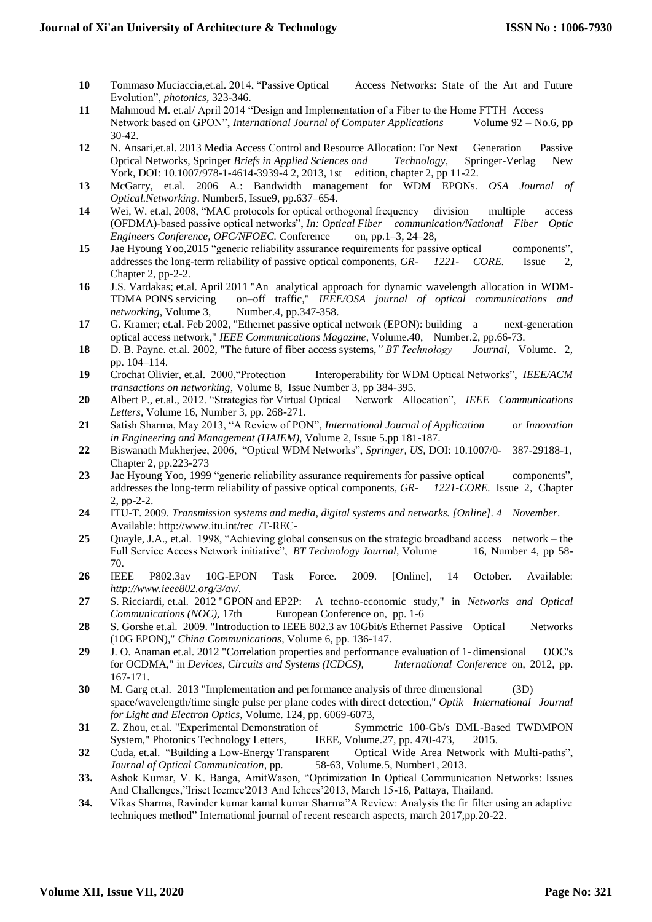- **10** Tommaso Muciaccia,et.al. 2014, "Passive Optical Access Networks: State of the Art and Future Evolution", *photonics,* 323-346.
- **11** Mahmoud M. et.al/ April 2014 "Design and Implementation of a Fiber to the Home FTTH Access Network based on GPON", *International Journal of Computer Applications* Volume 92 – No.6, pp 30-42.
- **12** N. Ansari,et.al. 2013 Media Access Control and Resource Allocation: For Next Generation Passive Optical Networks, Springer *Briefs in Applied Sciences and Technology,* Springer-Verlag New York, DOI: 10.1007/978-1-4614-3939-4 2, 2013, 1st edition, chapter 2, pp 11-22.
- **13** McGarry, et.al. 2006 A.: Bandwidth management for WDM EPONs. *OSA Journal of Optical.Networking*. Number5, Issue9, pp.637–654.
- **14** Wei, W. et.al, 2008, "MAC protocols for optical orthogonal frequency division multiple access (OFDMA)-based passive optical networks", *In: Optical Fiber communication/National Fiber Optic Engineers Conference, OFC/NFOEC.* Conference on, pp.1–3, 24–28,
- **15** Jae Hyoung Yoo,2015 ["generic reliability assurance requirements for passive optical components"](http://telecom-info.telcordia.com/site-cgi/ido/docs.cgi?ID=SEARCH&DOCUMENT=GR-1221&), addresses the long-term reliability of passive optical components, *GR- 1221- CORE.* Issue 2, Chapter 2, pp-2-2.
- **16** J.S. Vardakas; et.al. April 2011 "An analytical approach for dynamic wavelength allocation in WDM-TDMA PONS servicing on–off traffic," *IEEE/OSA journal of optical communications and networking*, Volume 3, Number.4, pp.347-358.
- **17** G. Kramer; et.al. Feb 2002, "Ethernet passive optical network (EPON): building a next-generation optical access network," *IEEE Communications Magazine*, Volume.40, Number.2, pp.66-73.
- **18** D. B. Payne. et.al. [2002, "The future of fiber access systems,](http://www.springerlink.com/content/v0r4hv1h21q60731/fulltext.pdf)*" BT Technology Journal,* Volume. 2, [pp. 104–114.](http://www.springerlink.com/content/v0r4hv1h21q60731/fulltext.pdf)
- **19** Crochat Olivier, et.al. 2000,"Protection Interoperability for WDM Optical Networks", *IEEE/ACM transactions on networking*, Volume 8, Issue Number 3, pp 384-395.
- **20** Albert P., et.al., 2012. "Strategies for Virtual Optical Network Allocation", *IEEE Communications Letters,* Volume 16, Number 3, pp. 268-271.
- **21** Satish Sharma, May 2013, "A Review of PON", *International Journal of Application or Innovation in Engineering and Management (IJAIEM),* Volume 2, Issue 5.pp 181-187.
- **22** Biswanath Mukherjee, 2006, "Optical WDM Networks", *Springer, US,* DOI: 10.1007/0- [387-29188-1,](http://dx.doi.org/10.1007/0-387-29188-1) Chapter 2, pp.223-273
- **23** Jae Hyoung Yoo, 1999 ["generic reliability assurance requirements for passive optical components"](http://telecom-info.telcordia.com/site-cgi/ido/docs.cgi?ID=SEARCH&DOCUMENT=GR-1221&), addresses the long-term reliability of passive optical components, *GR- 1221-CORE.* Issue 2, Chapter 2, pp-2-2.
- **24** ITU-T. 2009. *Transmission systems and media, digital systems and networks. [Online]. 4 November*. Available: [http://www.itu.int/rec /T-REC-](http://www.itu.int/rec%20%20/T-REC-)
- **25** Quayle, J.A., et.al. 1998, "Achieving global consensus on the strategic broadband access network the Full Service Access Network initiative", *BT Technology Journal*, Volume 16, Number 4, pp 58-70.
- **26** IEEE P802.3av 10G-EPON Task Force. 2009. [Online], 14 October. Available: *[http://www.ieee802.org/3/av/.](http://www.ieee802.org/3/av/)*
- **27** S. Ricciardi, et.al. 2012 "GPON and EP2P: A techno-economic study," in *Networks and Optical Communications (NOC),* 17th European Conference on, pp. 1-6
- 28 S. Gorshe et.al. 2009. "Introduction to IEEE 802.3 av 10Gbit/s Ethernet Passive Optical Networks (10G EPON)," *China Communications*, Volume 6, pp. 136-147.
- **29** J. O. Anaman et.al. 2012 "Correlation properties and performance evaluation of 1- dimensional OOC's for OCDMA," in *Devices, Circuits and Systems (ICDCS), International Conference* on, 2012, pp. 167-171.
- **30** M. Garg et.al. 2013 "Implementation and performance analysis of three dimensional (3D) space/wavelength/time single pulse per plane codes with direct detection," *Optik International Journal for Light and Electron Optics*, Volume. 124, pp. 6069-6073,
- **31** Z. Zhou, et.al. "Experimental Demonstration of Symmetric 100-Gb/s DML-Based TWDMPON System," Photonics Technology Letters, IEEE, Volume.27, pp. 470-473, 2015.
- **32** Cuda, et.al. "Building a Low-Energy Transparent Optical Wide Area Network with Multi-paths", *Journal of Optical Communication*, pp. 58-63, Volume.5, Number1, 2013.
- **33.** Ashok Kumar, V. K. Banga, AmitWason, "Optimization In Optical Communication Networks: Issues And Challenges,"Iriset Icemce'2013 And Ichces'2013, March 15-16, Pattaya, Thailand.
- **34.** Vikas Sharma, Ravinder kumar kamal kumar Sharma"A Review: Analysis the fir filter using an adaptive techniques method" International journal of recent research aspects, march 2017,pp.20-22.